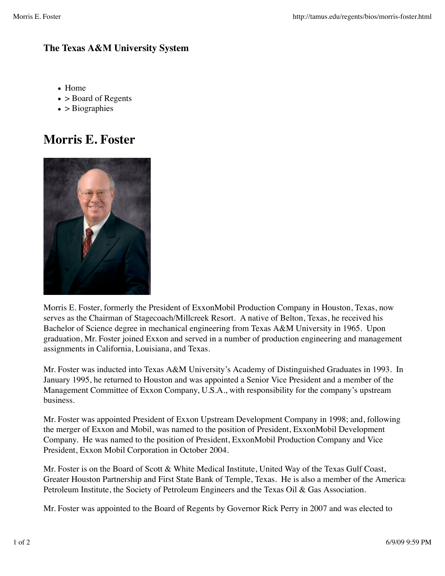## **The Texas A&M University System**

- Home
- > Board of Regents
- $\bullet$  > Biographies

## **Morris E. Foster**



Morris E. Foster, formerly the President of ExxonMobil Production Company in Houston, Texas, now serves as the Chairman of Stagecoach/Millcreek Resort. A native of Belton, Texas, he received his Bachelor of Science degree in mechanical engineering from Texas A&M University in 1965. Upon graduation, Mr. Foster joined Exxon and served in a number of production engineering and management assignments in California, Louisiana, and Texas.

Mr. Foster was inducted into Texas A&M University's Academy of Distinguished Graduates in 1993. In January 1995, he returned to Houston and was appointed a Senior Vice President and a member of the Management Committee of Exxon Company, U.S.A., with responsibility for the company's upstream business.

Mr. Foster was appointed President of Exxon Upstream Development Company in 1998; and, following the merger of Exxon and Mobil, was named to the position of President, ExxonMobil Development Company. He was named to the position of President, ExxonMobil Production Company and Vice President, Exxon Mobil Corporation in October 2004.

Mr. Foster is on the Board of Scott & White Medical Institute, United Way of the Texas Gulf Coast, Greater Houston Partnership and First State Bank of Temple, Texas. He is also a member of the American Petroleum Institute, the Society of Petroleum Engineers and the Texas Oil & Gas Association.

Mr. Foster was appointed to the Board of Regents by Governor Rick Perry in 2007 and was elected to